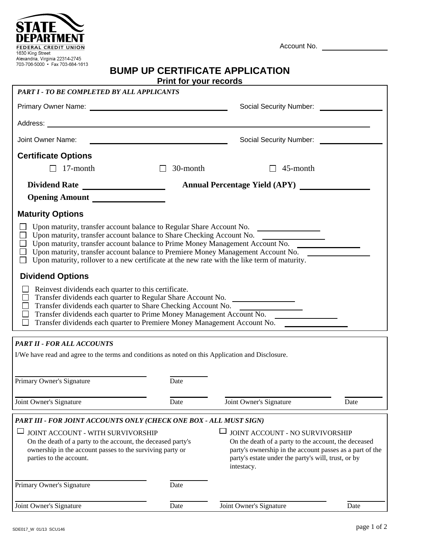| $100 - 100 - 0000 - 000 + 1000$<br><b>BUMP UP CERTIFICATE APPLICATION</b><br><b>Print for your records</b>                                                                                                                                                                                                                                                                                                                       |                                                                                                                       |                                                                                                                                                                                                                          |      |
|----------------------------------------------------------------------------------------------------------------------------------------------------------------------------------------------------------------------------------------------------------------------------------------------------------------------------------------------------------------------------------------------------------------------------------|-----------------------------------------------------------------------------------------------------------------------|--------------------------------------------------------------------------------------------------------------------------------------------------------------------------------------------------------------------------|------|
| PART I - TO BE COMPLETED BY ALL APPLICANTS                                                                                                                                                                                                                                                                                                                                                                                       |                                                                                                                       |                                                                                                                                                                                                                          |      |
|                                                                                                                                                                                                                                                                                                                                                                                                                                  |                                                                                                                       |                                                                                                                                                                                                                          |      |
|                                                                                                                                                                                                                                                                                                                                                                                                                                  |                                                                                                                       |                                                                                                                                                                                                                          |      |
| Joint Owner Name:                                                                                                                                                                                                                                                                                                                                                                                                                | <u> 1989 - Johann Barbara, martin amerikan basal dan berasal dan berasal dalam basal dalam basal dalam basal dala</u> | Social Security Number:<br>Social Security Number:                                                                                                                                                                       |      |
| <b>Certificate Options</b>                                                                                                                                                                                                                                                                                                                                                                                                       |                                                                                                                       |                                                                                                                                                                                                                          |      |
| 17-month                                                                                                                                                                                                                                                                                                                                                                                                                         | 30-month<br>$\Box$                                                                                                    | 45-month                                                                                                                                                                                                                 |      |
|                                                                                                                                                                                                                                                                                                                                                                                                                                  | <b>Annual Percentage Yield (APY)</b>                                                                                  |                                                                                                                                                                                                                          |      |
| Opening Amount                                                                                                                                                                                                                                                                                                                                                                                                                   |                                                                                                                       |                                                                                                                                                                                                                          |      |
| <b>Maturity Options</b>                                                                                                                                                                                                                                                                                                                                                                                                          |                                                                                                                       |                                                                                                                                                                                                                          |      |
| Upon maturity, transfer account balance to Regular Share Account No. ____________<br>$\Box$ Upon maturity, rollover to a new certificate at the new rate with the like term of maturity.                                                                                                                                                                                                                                         |                                                                                                                       |                                                                                                                                                                                                                          |      |
| <b>Dividend Options</b>                                                                                                                                                                                                                                                                                                                                                                                                          |                                                                                                                       |                                                                                                                                                                                                                          |      |
| Reinvest dividends each quarter to this certificate.<br>Transfer dividends each quarter to Regular Share Account No. ___________________<br>$\Box$<br>Transfer dividends each quarter to Share Checking Account No. __________________<br>$\Box$<br>Transfer dividends each quarter to Prime Money Management Account No. ___________<br>$\Box$<br>Transfer dividends each quarter to Premiere Money Management Account No.<br>⊔ |                                                                                                                       |                                                                                                                                                                                                                          |      |
| <b>PART II - FOR ALL ACCOUNTS</b>                                                                                                                                                                                                                                                                                                                                                                                                |                                                                                                                       |                                                                                                                                                                                                                          |      |
| I/We have read and agree to the terms and conditions as noted on this Application and Disclosure.                                                                                                                                                                                                                                                                                                                                |                                                                                                                       |                                                                                                                                                                                                                          |      |
| Primary Owner's Signature                                                                                                                                                                                                                                                                                                                                                                                                        | Date                                                                                                                  |                                                                                                                                                                                                                          |      |
| Joint Owner's Signature                                                                                                                                                                                                                                                                                                                                                                                                          | Date                                                                                                                  | Joint Owner's Signature                                                                                                                                                                                                  | Date |
| PART III - FOR JOINT ACCOUNTS ONLY (CHECK ONE BOX - ALL MUST SIGN)                                                                                                                                                                                                                                                                                                                                                               |                                                                                                                       |                                                                                                                                                                                                                          |      |
| JOINT ACCOUNT - WITH SURVIVORSHIP<br>On the death of a party to the account, the deceased party's<br>ownership in the account passes to the surviving party or<br>parties to the account.                                                                                                                                                                                                                                        |                                                                                                                       | JOINT ACCOUNT - NO SURVIVORSHIP<br>On the death of a party to the account, the deceased<br>party's ownership in the account passes as a part of the<br>party's estate under the party's will, trust, or by<br>intestacy. |      |
| Primary Owner's Signature                                                                                                                                                                                                                                                                                                                                                                                                        | Date                                                                                                                  |                                                                                                                                                                                                                          |      |
| Joint Owner's Signature                                                                                                                                                                                                                                                                                                                                                                                                          | Date                                                                                                                  | Joint Owner's Signature                                                                                                                                                                                                  | Date |

Account No.